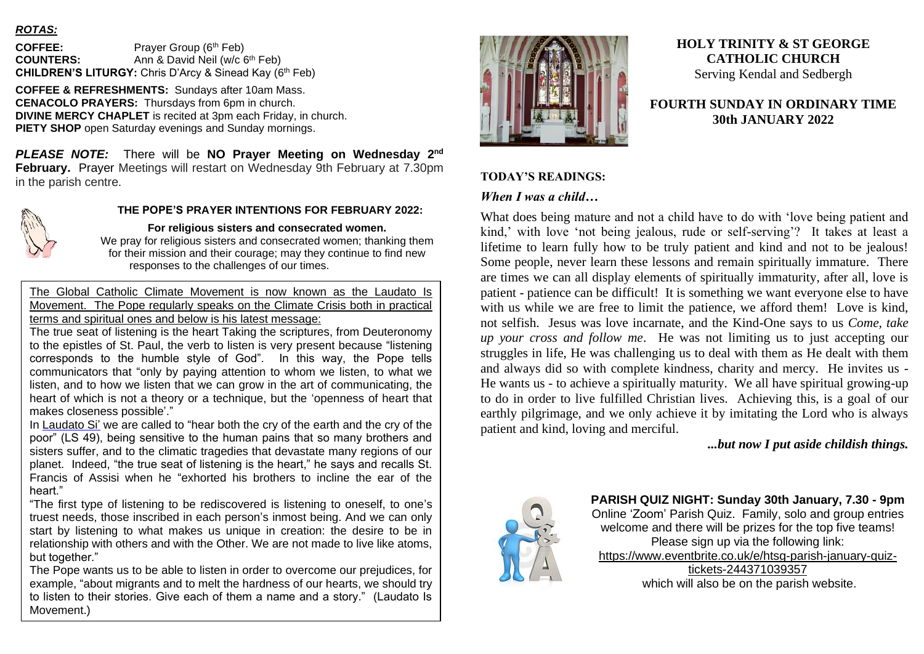### *ROTAS:*

**COFFEE:** Prayer Group (6th Feb) **COUNTERS:** Ann & David Neil (w/c 6<sup>th</sup> Feb) **CHILDREN'S LITURGY:** Chris D'Arcy & Sinead Kay (6th Feb)

**COFFEE & REFRESHMENTS:** Sundays after 10am Mass. **CENACOLO PRAYERS:** Thursdays from 6pm in church. **DIVINE MERCY CHAPLET** is recited at 3pm each Friday, in church. **PIETY SHOP** open Saturday evenings and Sunday mornings.

*PLEASE NOTE:* There will be **NO Prayer Meeting on Wednesday 2nd February.** Prayer Meetings will restart on Wednesday 9th February at 7.30pm in the parish centre.



### **THE POPE'S PRAYER INTENTIONS FOR FEBRUARY 2022:**

**For religious sisters and consecrated women.** We pray for religious sisters and consecrated women; thanking them for their mission and their courage; may they continue to find new responses to the challenges of our times.

The Global Catholic Climate Movement is now known as the Laudato Is Movement. The Pope regularly speaks on the Climate Crisis both in practical terms and spiritual ones and below is his latest message:

The true seat of listening is the heart Taking the scriptures, from Deuteronomy to the epistles of St. Paul, the verb to listen is very present because "listening corresponds to the humble style of God". In this way, the Pope tells communicators that "only by paying attention to whom we listen, to what we listen, and to how we listen that we can grow in the art of communicating, the heart of which is not a theory or a technique, but the 'openness of heart that makes closeness possible'."

In [Laudato Si'](https://www.vatican.va/content/francesco/en/encyclicals/documents/papa-francesco_20150524_enciclica-laudato-si.html) we are called to "hear both the cry of the earth and the cry of the poor" (LS 49), being sensitive to the human pains that so many brothers and sisters suffer, and to the climatic tragedies that devastate many regions of our planet. Indeed, "the true seat of listening is the heart," he says and recalls St. Francis of Assisi when he "exhorted his brothers to incline the ear of the heart."

"The first type of listening to be rediscovered is listening to oneself, to one's truest needs, those inscribed in each person's inmost being. And we can only start by listening to what makes us unique in creation: the desire to be in relationship with others and with the Other. We are not made to live like atoms, but together."

The Pope wants us to be able to listen in order to overcome our prejudices, for example, "about migrants and to melt the hardness of our hearts, we should try to listen to their stories. Give each of them a name and a story." (Laudato Is Movement.)



# **HOLY TRINITY & ST GEORGE CATHOLIC CHURCH** Serving Kendal and Sedbergh

## **FOURTH SUNDAY IN ORDINARY TIME 30th JANUARY 2022**

#### **TODAY'S READINGS:**

### *When I was a child…*

What does being mature and not a child have to do with 'love being patient and kind,' with love 'not being jealous, rude or self-serving'? It takes at least a lifetime to learn fully how to be truly patient and kind and not to be jealous! Some people, never learn these lessons and remain spiritually immature. There are times we can all display elements of spiritually immaturity, after all, love is patient - patience can be difficult! It is something we want everyone else to have with us while we are free to limit the patience, we afford them! Love is kind, not selfish. Jesus was love incarnate, and the Kind-One says to us *Come, take up your cross and follow me*. He was not limiting us to just accepting our struggles in life, He was challenging us to deal with them as He dealt with them and always did so with complete kindness, charity and mercy. He invites us - He wants us - to achieve a spiritually maturity. We all have spiritual growing-up to do in order to live fulfilled Christian lives. Achieving this, is a goal of our earthly pilgrimage, and we only achieve it by imitating the Lord who is always patient and kind, loving and merciful.

### *...but now I put aside childish things.*



**PARISH QUIZ NIGHT: Sunday 30th January, 7.30 - 9pm** Online 'Zoom' Parish Quiz. Family, solo and group entries welcome and there will be prizes for the top five teams! Please sign up via the following link: [https://www.eventbrite.co.uk/e/htsg-parish-january-quiz](https://www.eventbrite.co.uk/e/htsg-parish-january-quiz-tickets-244371039357)[tickets-244371039357](https://www.eventbrite.co.uk/e/htsg-parish-january-quiz-tickets-244371039357) which will also be on the parish website.